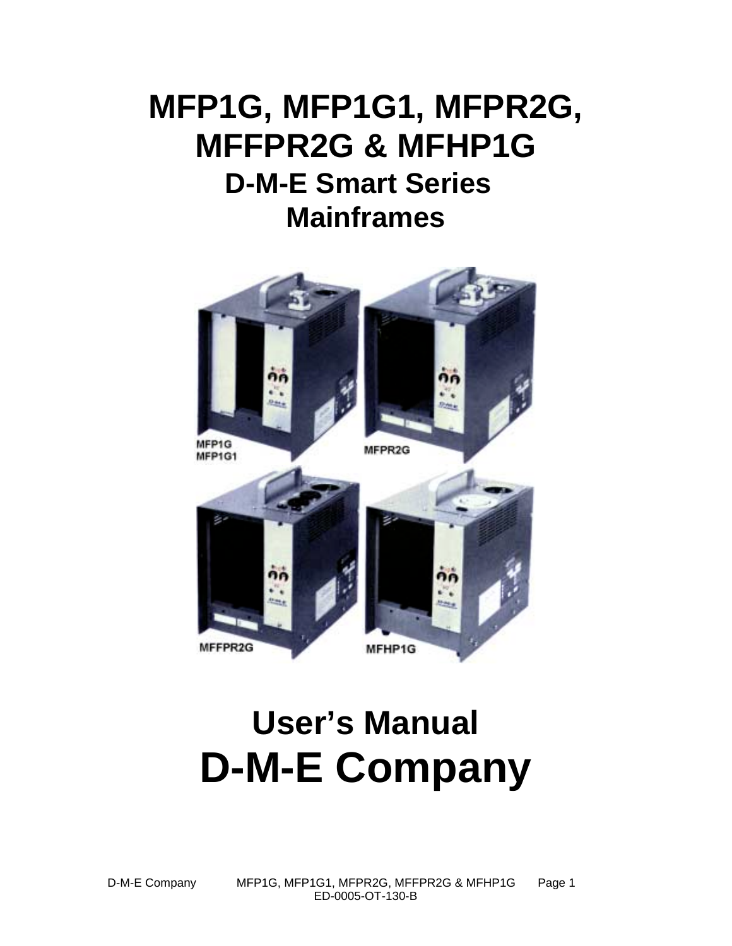# **MFP1G, MFP1G1, MFPR2G, MFFPR2G & MFHP1G D-M-E Smart Series Mainframes**



# **User's Manual D-M-E Company**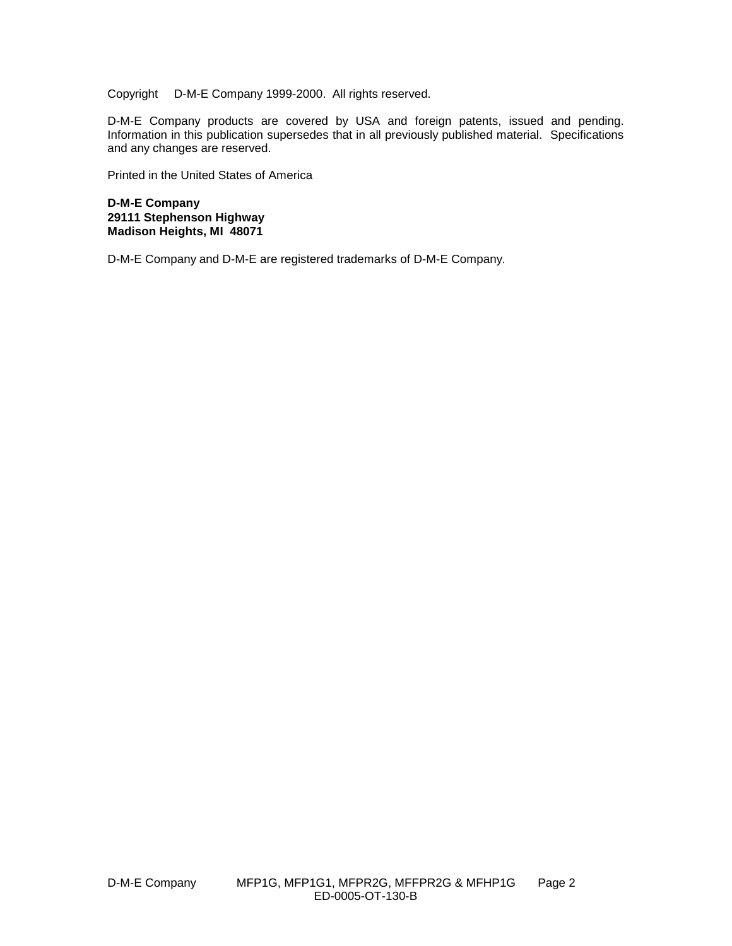Copyright © D-M-E Company 1999-2000. All rights reserved.

D-M-E Company products are covered by USA and foreign patents, issued and pending. Information in this publication supersedes that in all previously published material. Specifications and any changes are reserved.

Printed in the United States of America

**D-M-E Company 29111 Stephenson Highway Madison Heights, MI 48071**

D-M-E Company and D-M-E are registered trademarks of D-M-E Company.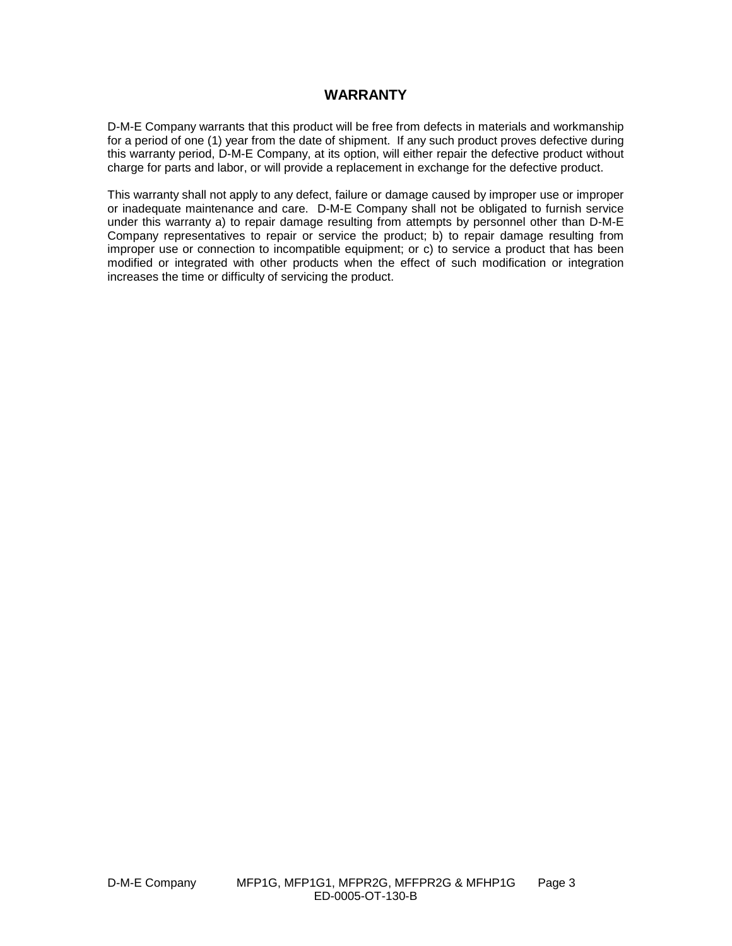#### **WARRANTY**

D-M-E Company warrants that this product will be free from defects in materials and workmanship for a period of one (1) year from the date of shipment. If any such product proves defective during this warranty period, D-M-E Company, at its option, will either repair the defective product without charge for parts and labor, or will provide a replacement in exchange for the defective product.

This warranty shall not apply to any defect, failure or damage caused by improper use or improper or inadequate maintenance and care. D-M-E Company shall not be obligated to furnish service under this warranty a) to repair damage resulting from attempts by personnel other than D-M-E Company representatives to repair or service the product; b) to repair damage resulting from improper use or connection to incompatible equipment; or c) to service a product that has been modified or integrated with other products when the effect of such modification or integration increases the time or difficulty of servicing the product.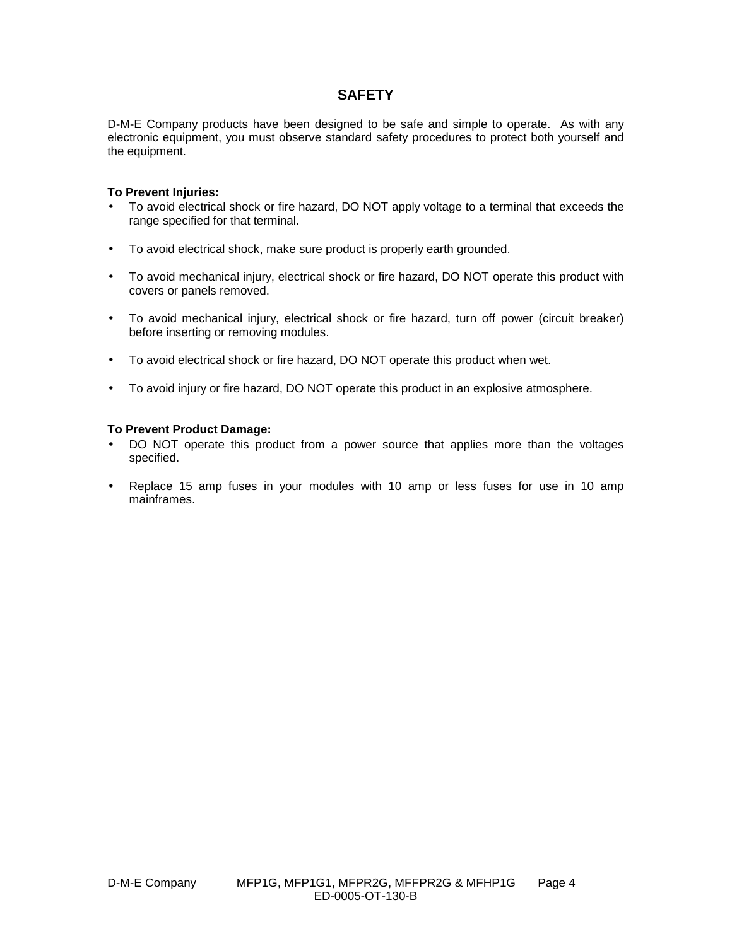#### **SAFETY**

D-M-E Company products have been designed to be safe and simple to operate. As with any electronic equipment, you must observe standard safety procedures to protect both yourself and the equipment.

#### **To Prevent Injuries:**

- To avoid electrical shock or fire hazard, DO NOT apply voltage to a terminal that exceeds the range specified for that terminal.
- To avoid electrical shock, make sure product is properly earth grounded.
- To avoid mechanical injury, electrical shock or fire hazard, DO NOT operate this product with covers or panels removed.
- To avoid mechanical injury, electrical shock or fire hazard, turn off power (circuit breaker) before inserting or removing modules.
- To avoid electrical shock or fire hazard, DO NOT operate this product when wet.
- To avoid injury or fire hazard, DO NOT operate this product in an explosive atmosphere.

#### **To Prevent Product Damage:**

- DO NOT operate this product from a power source that applies more than the voltages specified.
- Replace 15 amp fuses in your modules with 10 amp or less fuses for use in 10 amp mainframes.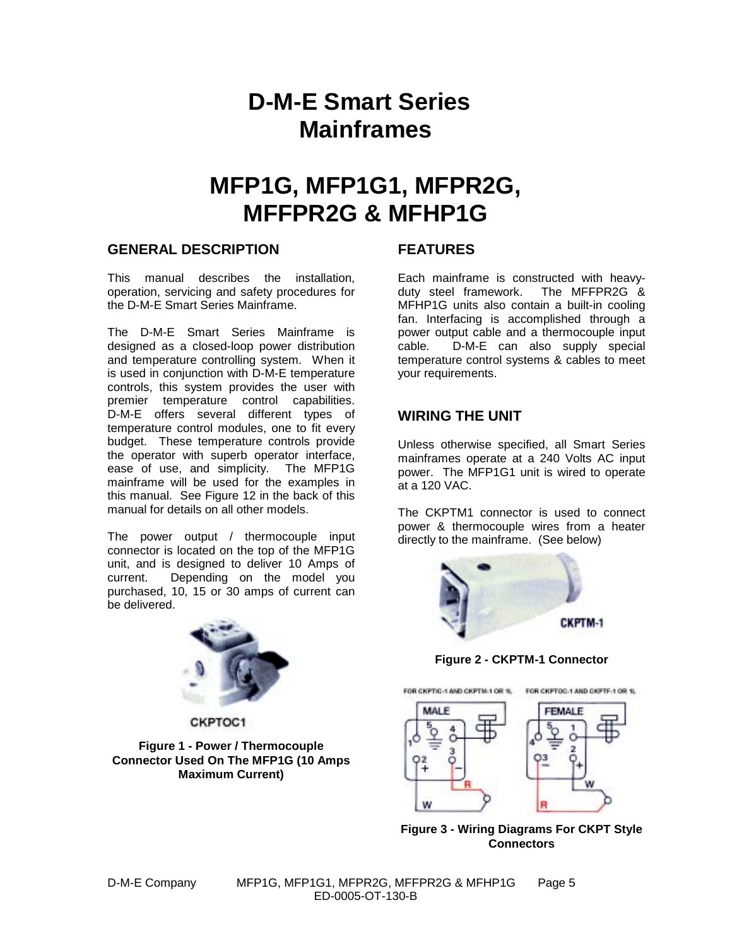# **D-M-E Smart Series Mainframes**

# **MFP1G, MFP1G1, MFPR2G, MFFPR2G & MFHP1G**

#### **GENERAL DESCRIPTION**

This manual describes the installation, operation, servicing and safety procedures for the D-M-E Smart Series Mainframe.

The D-M-E Smart Series Mainframe is designed as a closed-loop power distribution and temperature controlling system. When it is used in conjunction with D-M-E temperature controls, this system provides the user with premier temperature control capabilities. D-M-E offers several different types of temperature control modules, one to fit every budget. These temperature controls provide the operator with superb operator interface, ease of use, and simplicity. The MFP1G mainframe will be used for the examples in this manual. See Figure 12 in the back of this manual for details on all other models.

The power output / thermocouple input connector is located on the top of the MFP1G unit, and is designed to deliver 10 Amps of current. Depending on the model you purchased, 10, 15 or 30 amps of current can be delivered.



CKPTOC1

**Figure 1 - Power / Thermocouple Connector Used On The MFP1G (10 Amps Maximum Current)**

## **FEATURES**

Each mainframe is constructed with heavyduty steel framework. The MFFPR2G & MFHP1G units also contain a built-in cooling fan. Interfacing is accomplished through a power output cable and a thermocouple input cable. D-M-E can also supply special temperature control systems & cables to meet your requirements.

## **WIRING THE UNIT**

Unless otherwise specified, all Smart Series mainframes operate at a 240 Volts AC input power. The MFP1G1 unit is wired to operate at a 120 VAC.

The CKPTM1 connector is used to connect power & thermocouple wires from a heater directly to the mainframe. (See below)



**Figure 2 - CKPTM-1 Connector**



**Figure 3 - Wiring Diagrams For CKPT Style Connectors**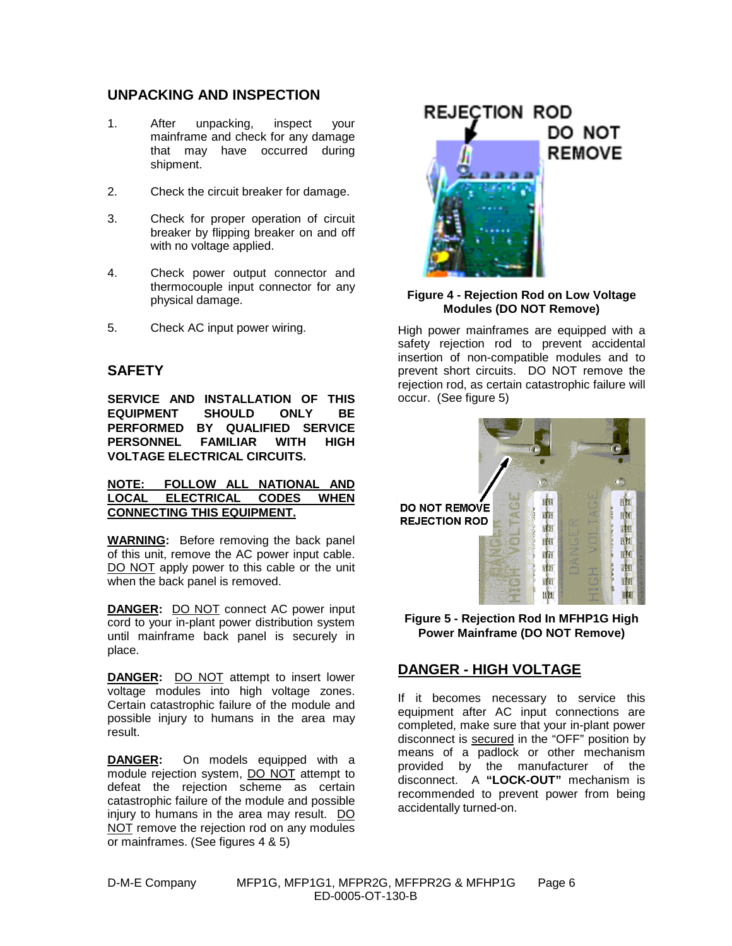#### **UNPACKING AND INSPECTION**

- 1. After unpacking, inspect your mainframe and check for any damage that may have occurred during shipment.
- 2. Check the circuit breaker for damage.
- 3. Check for proper operation of circuit breaker by flipping breaker on and off with no voltage applied.
- 4. Check power output connector and thermocouple input connector for any physical damage.
- 5. Check AC input power wiring.

## **SAFETY**

**SERVICE AND INSTALLATION OF THIS EQUIPMENT SHOULD ONLY BE PERFORMED BY QUALIFIED SERVICE PERSONNEL FAMILIAR WITH HIGH VOLTAGE ELECTRICAL CIRCUITS.**

#### **NOTE: FOLLOW ALL NATIONAL AND LOCAL ELECTRICAL CODES WHEN CONNECTING THIS EQUIPMENT.**

**WARNING:** Before removing the back panel of this unit, remove the AC power input cable. DO NOT apply power to this cable or the unit when the back panel is removed.

**DANGER:** DO NOT connect AC power input cord to your in-plant power distribution system until mainframe back panel is securely in place.

**DANGER:** DO NOT attempt to insert lower voltage modules into high voltage zones. Certain catastrophic failure of the module and possible injury to humans in the area may result.

**DANGER:** On models equipped with a module rejection system, DO NOT attempt to defeat the rejection scheme as certain catastrophic failure of the module and possible injury to humans in the area may result. DO NOT remove the rejection rod on any modules or mainframes. (See figures 4 & 5)



#### **Figure 4 - Rejection Rod on Low Voltage Modules (DO NOT Remove)**

High power mainframes are equipped with a safety rejection rod to prevent accidental insertion of non-compatible modules and to prevent short circuits. DO NOT remove the rejection rod, as certain catastrophic failure will occur. (See figure 5)



**Figure 5 - Rejection Rod In MFHP1G High Power Mainframe (DO NOT Remove)**

#### **DANGER - HIGH VOLTAGE**

If it becomes necessary to service this equipment after AC input connections are completed, make sure that your in-plant power disconnect is secured in the "OFF" position by means of a padlock or other mechanism provided by the manufacturer of the disconnect. A **"LOCK-OUT"** mechanism is recommended to prevent power from being accidentally turned-on.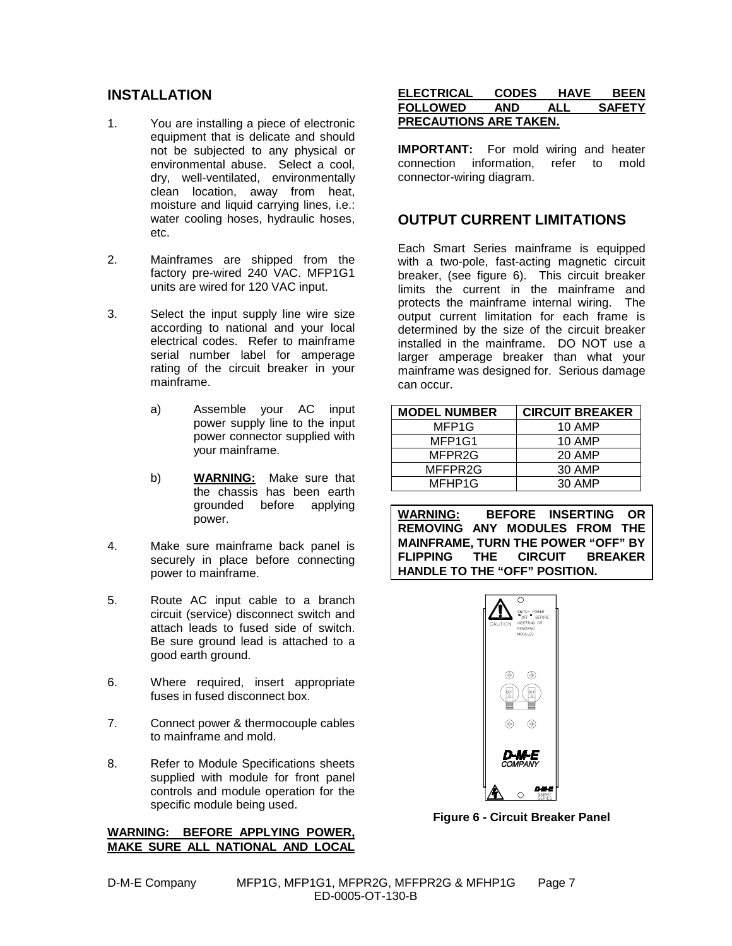#### **INSTALLATION**

- 1. You are installing a piece of electronic equipment that is delicate and should not be subjected to any physical or environmental abuse. Select a cool, dry, well-ventilated, environmentally clean location, away from heat, moisture and liquid carrying lines, i.e.: water cooling hoses, hydraulic hoses, etc.
- 2. Mainframes are shipped from the factory pre-wired 240 VAC. MFP1G1 units are wired for 120 VAC input.
- 3. Select the input supply line wire size according to national and your local electrical codes. Refer to mainframe serial number label for amperage rating of the circuit breaker in your mainframe.
	- a) Assemble your AC input power supply line to the input power connector supplied with your mainframe.
	- b) **WARNING:** Make sure that the chassis has been earth grounded before applying power.
- 4. Make sure mainframe back panel is securely in place before connecting power to mainframe.
- 5. Route AC input cable to a branch circuit (service) disconnect switch and attach leads to fused side of switch. Be sure ground lead is attached to a good earth ground.
- 6. Where required, insert appropriate fuses in fused disconnect box.
- 7. Connect power & thermocouple cables to mainframe and mold.
- 8. Refer to Module Specifications sheets supplied with module for front panel controls and module operation for the specific module being used.

#### **WARNING: BEFORE APPLYING POWER, MAKE SURE ALL NATIONAL AND LOCAL**

# **OUTPUT CURRENT LIMITATIONS**

**PRECAUTIONS ARE TAKEN.**

connector-wiring diagram.

Each Smart Series mainframe is equipped with a two-pole, fast-acting magnetic circuit breaker, (see figure 6). This circuit breaker limits the current in the mainframe and protects the mainframe internal wiring. The output current limitation for each frame is determined by the size of the circuit breaker installed in the mainframe. DO NOT use a larger amperage breaker than what your mainframe was designed for. Serious damage can occur.

**ELECTRICAL CODES HAVE BEEN FOLLOWED AND ALL SAFETY**

**IMPORTANT:** For mold wiring and heater connection information, refer to mold

| <b>MODEL NUMBER</b> | <b>CIRCUIT BREAKER</b> |  |
|---------------------|------------------------|--|
| MFP <sub>1</sub> G  | 10 AMP                 |  |
| MFP1G1              | 10 AMP                 |  |
| MFPR2G              | 20 AMP                 |  |
| MFFPR2G             | 30 AMP                 |  |
| MFHP1G              | 30 AMP                 |  |

**WARNING: BEFORE INSERTING OR REMOVING ANY MODULES FROM THE MAINFRAME, TURN THE POWER "OFF" BY FLIPPING THE CIRCUIT BREAKER HANDLE TO THE "OFF" POSITION.**



**Figure 6 - Circuit Breaker Panel**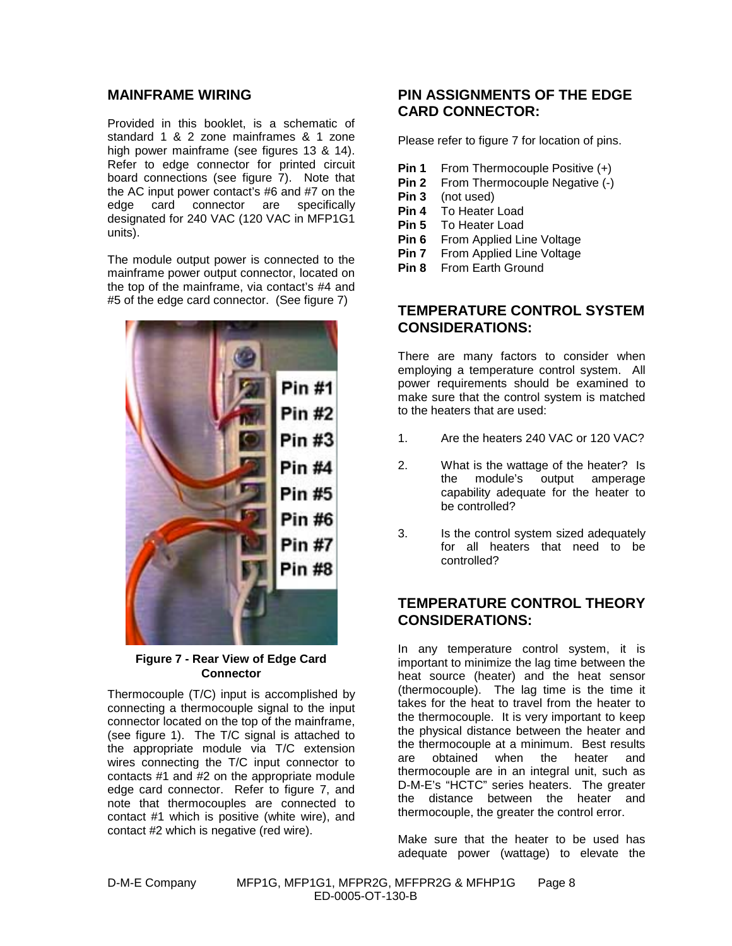#### **MAINFRAME WIRING**

Provided in this booklet, is a schematic of standard 1 & 2 zone mainframes & 1 zone high power mainframe (see figures 13 & 14). Refer to edge connector for printed circuit board connections (see figure 7). Note that the AC input power contact's #6 and #7 on the edge card connector are specifically designated for 240 VAC (120 VAC in MFP1G1 units).

The module output power is connected to the mainframe power output connector, located on the top of the mainframe, via contact's #4 and #5 of the edge card connector. (See figure 7)



**Figure 7 - Rear View of Edge Card Connector**

Thermocouple (T/C) input is accomplished by connecting a thermocouple signal to the input connector located on the top of the mainframe, (see figure 1). The T/C signal is attached to the appropriate module via T/C extension wires connecting the T/C input connector to contacts #1 and #2 on the appropriate module edge card connector. Refer to figure 7, and note that thermocouples are connected to contact #1 which is positive (white wire), and contact #2 which is negative (red wire).

#### **PIN ASSIGNMENTS OF THE EDGE CARD CONNECTOR:**

Please refer to figure 7 for location of pins.

- **Pin 1** From Thermocouple Positive (+)
- **Pin 2** From Thermocouple Negative (-)<br>**Pin 3** (not used)
- **Pin 3** (not used)
- **Pin 4** To Heater Load
- **Pin 5** To Heater Load
- **Pin 6** From Applied Line Voltage<br>**Pin 7** From Applied Line Voltage
- **From Applied Line Voltage**
- **Pin 8** From Earth Ground

## **TEMPERATURE CONTROL SYSTEM CONSIDERATIONS:**

There are many factors to consider when employing a temperature control system. All power requirements should be examined to make sure that the control system is matched to the heaters that are used:

- 1. Are the heaters 240 VAC or 120 VAC?
- 2. What is the wattage of the heater? Is the module's output amperage capability adequate for the heater to be controlled?
- 3. Is the control system sized adequately for all heaters that need to be controlled?

## **TEMPERATURE CONTROL THEORY CONSIDERATIONS:**

In any temperature control system, it is important to minimize the lag time between the heat source (heater) and the heat sensor (thermocouple). The lag time is the time it takes for the heat to travel from the heater to the thermocouple. It is very important to keep the physical distance between the heater and the thermocouple at a minimum. Best results are obtained when the heater and thermocouple are in an integral unit, such as D-M-E's "HCTC" series heaters. The greater the distance between the heater and thermocouple, the greater the control error.

Make sure that the heater to be used has adequate power (wattage) to elevate the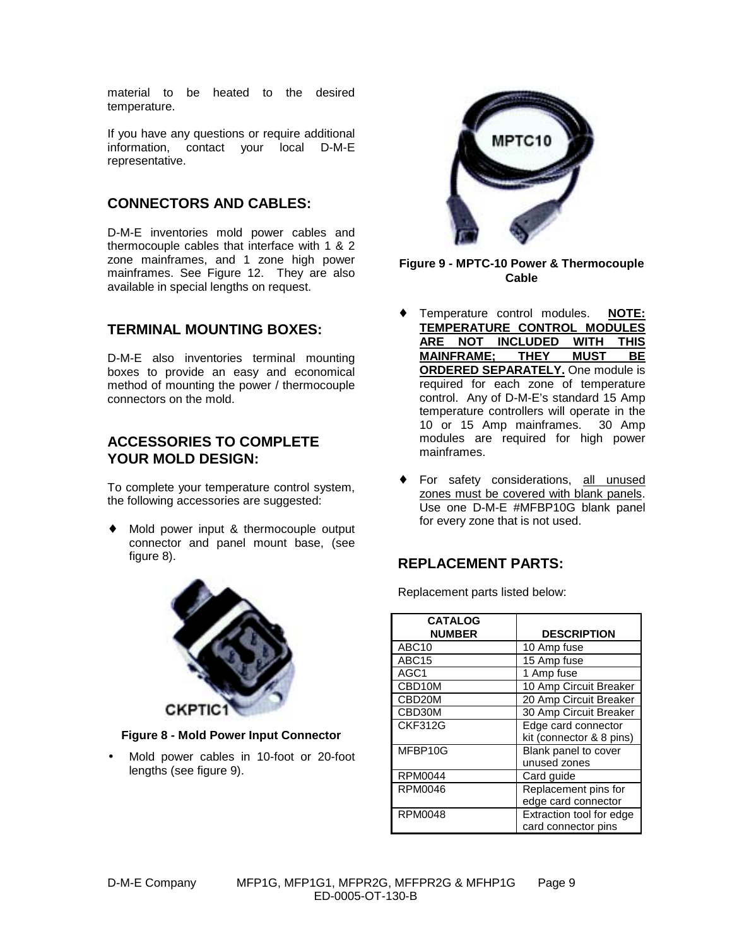material to be heated to the desired temperature.

If you have any questions or require additional information, contact your local D-M-E representative.

## **CONNECTORS AND CABLES:**

D-M-E inventories mold power cables and thermocouple cables that interface with 1 & 2 zone mainframes, and 1 zone high power mainframes. See Figure 12. They are also available in special lengths on request.

#### **TERMINAL MOUNTING BOXES:**

D-M-E also inventories terminal mounting boxes to provide an easy and economical method of mounting the power / thermocouple connectors on the mold.

#### **ACCESSORIES TO COMPLETE YOUR MOLD DESIGN:**

To complete your temperature control system, the following accessories are suggested:

Mold power input & thermocouple output connector and panel mount base, (see figure 8).



**Figure 8 - Mold Power Input Connector**

• Mold power cables in 10-foot or 20-foot lengths (see figure 9).



#### **Figure 9 - MPTC-10 Power & Thermocouple Cable**

- Temperature control modules. **NOTE: TEMPERATURE CONTROL MODULES ARE NOT INCLUDED WITH THIS MAINFRAME; THEY MUST BE ORDERED SEPARATELY.** One module is required for each zone of temperature control. Any of D-M-E's standard 15 Amp temperature controllers will operate in the 10 or 15 Amp mainframes. 30 Amp modules are required for high power mainframes.
- For safety considerations, all unused zones must be covered with blank panels. Use one D-M-E #MFBP10G blank panel for every zone that is not used.

# **REPLACEMENT PARTS:**

Replacement parts listed below:

| <b>CATALOG</b>      |                          |  |
|---------------------|--------------------------|--|
| <b>NUMBER</b>       | <b>DESCRIPTION</b>       |  |
| ABC <sub>10</sub>   | 10 Amp fuse              |  |
| ABC <sub>15</sub>   | 15 Amp fuse              |  |
| AGC <sub>1</sub>    | 1 Amp fuse               |  |
| CBD10M              | 10 Amp Circuit Breaker   |  |
| CBD <sub>20</sub> M | 20 Amp Circuit Breaker   |  |
| CBD30M              | 30 Amp Circuit Breaker   |  |
| CKF312G             | Edge card connector      |  |
|                     | kit (connector & 8 pins) |  |
| MFBP10G             | Blank panel to cover     |  |
|                     | unused zones             |  |
| <b>RPM0044</b>      | Card guide               |  |
| RPM0046             | Replacement pins for     |  |
|                     | edge card connector      |  |
| RPM0048             | Extraction tool for edge |  |
|                     | card connector pins      |  |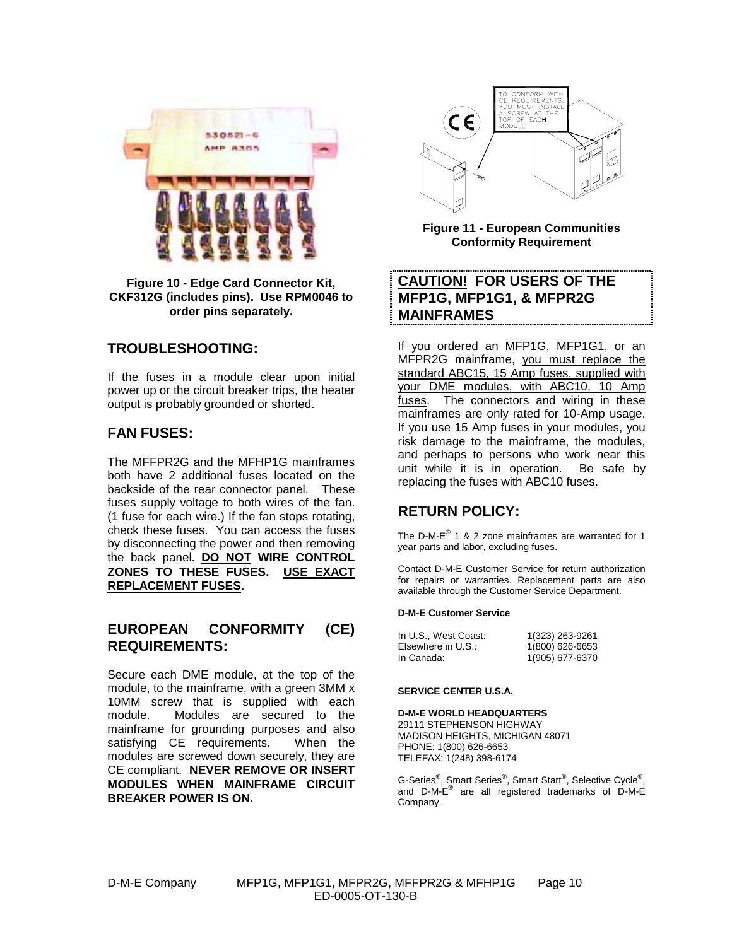

**Figure 10 - Edge Card Connector Kit, CKF312G (includes pins). Use RPM0046 to order pins separately.**

#### **TROUBLESHOOTING:**

If the fuses in a module clear upon initial power up or the circuit breaker trips, the heater output is probably grounded or shorted.

#### **FAN FUSES:**

The MFFPR2G and the MFHP1G mainframes both have 2 additional fuses located on the backside of the rear connector panel. These fuses supply voltage to both wires of the fan. (1 fuse for each wire.) If the fan stops rotating, check these fuses. You can access the fuses by disconnecting the power and then removing the back panel. **DO NOT WIRE CONTROL ZONES TO THESE FUSES. USE EXACT REPLACEMENT FUSES.**

#### **EUROPEAN CONFORMITY (CE) REQUIREMENTS:**

Secure each DME module, at the top of the module, to the mainframe, with a green 3MM x 10MM screw that is supplied with each module. Modules are secured to the mainframe for grounding purposes and also satisfying CE requirements. When the modules are screwed down securely, they are CE compliant. **NEVER REMOVE OR INSERT MODULES WHEN MAINFRAME CIRCUIT BREAKER POWER IS ON.**



**Figure 11 - European Communities Conformity Requirement**

# **CAUTION! FOR USERS OF THE MFP1G, MFP1G1, & MFPR2G MAINFRAMES**

If you ordered an MFP1G, MFP1G1, or an MFPR2G mainframe, you must replace the standard ABC15, 15 Amp fuses, supplied with your DME modules, with ABC10, 10 Amp fuses. The connectors and wiring in these mainframes are only rated for 10-Amp usage. If you use 15 Amp fuses in your modules, you risk damage to the mainframe, the modules, and perhaps to persons who work near this unit while it is in operation. Be safe by replacing the fuses with ABC10 fuses.

# **RETURN POLICY:**

The D-M-E® 1 & 2 zone mainframes are warranted for 1 year parts and labor, excluding fuses.

Contact D-M-E Customer Service for return authorization for repairs or warranties. Replacement parts are also available through the Customer Service Department.

#### **D-M-E Customer Service**

| In U.S., West Coast: | 1(323) 263-9261 |
|----------------------|-----------------|
| Elsewhere in U.S.:   | 1(800) 626-6653 |
| In Canada:           | 1(905) 677-6370 |

#### **SERVICE CENTER U.S.A.**

#### **D-M-E WORLD HEADQUARTERS**

29111 STEPHENSON HIGHWAY MADISON HEIGHTS, MICHIGAN 48071 PHONE: 1(800) 626-6653 TELEFAX: 1(248) 398-6174

G-Series®, Smart Series®, Smart Start®, Selective Cycle®, and  $D-M-E^{\otimes}$  are all registered trademarks of  $D-M-E$ Company.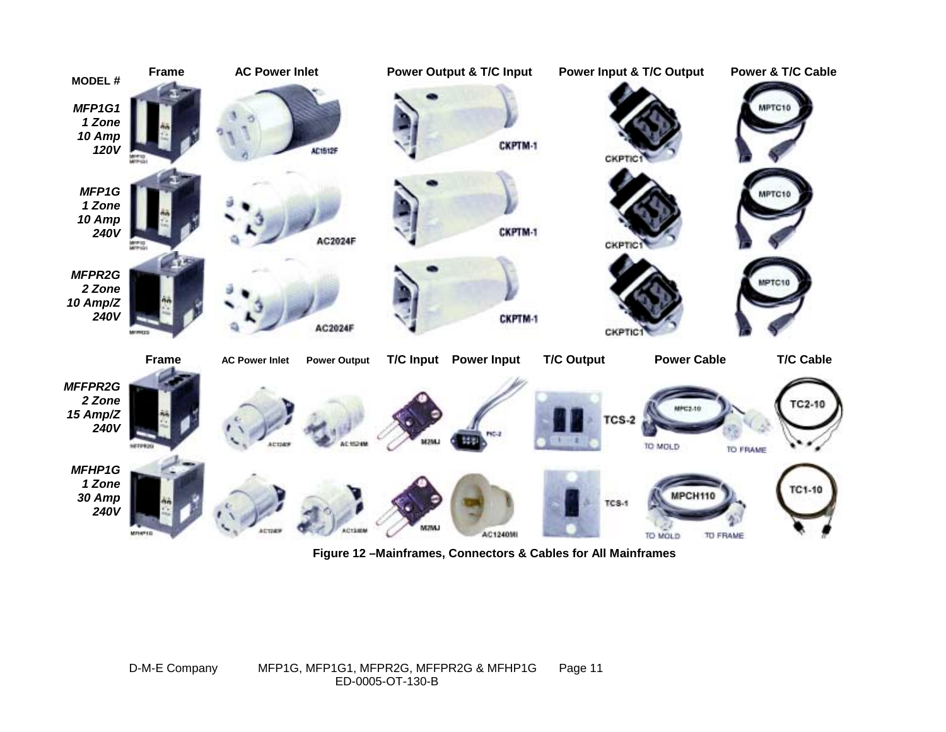

**Figure 12 –Mainframes, Connectors & Cables for All Mainframes**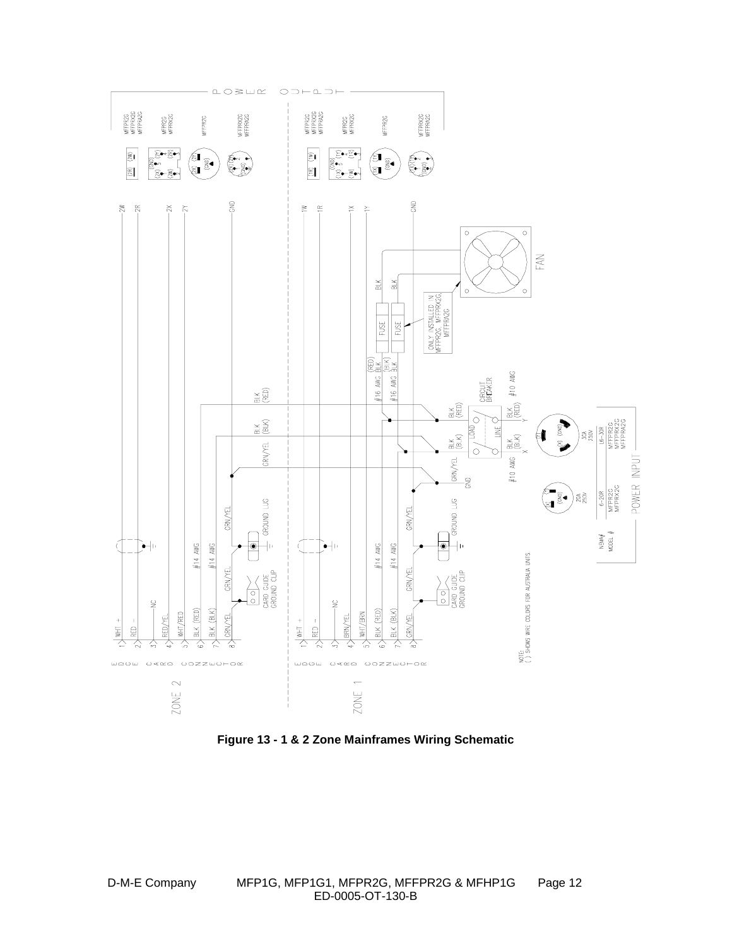

**Figure 13 - 1 & 2 Zone Mainframes Wiring Schematic**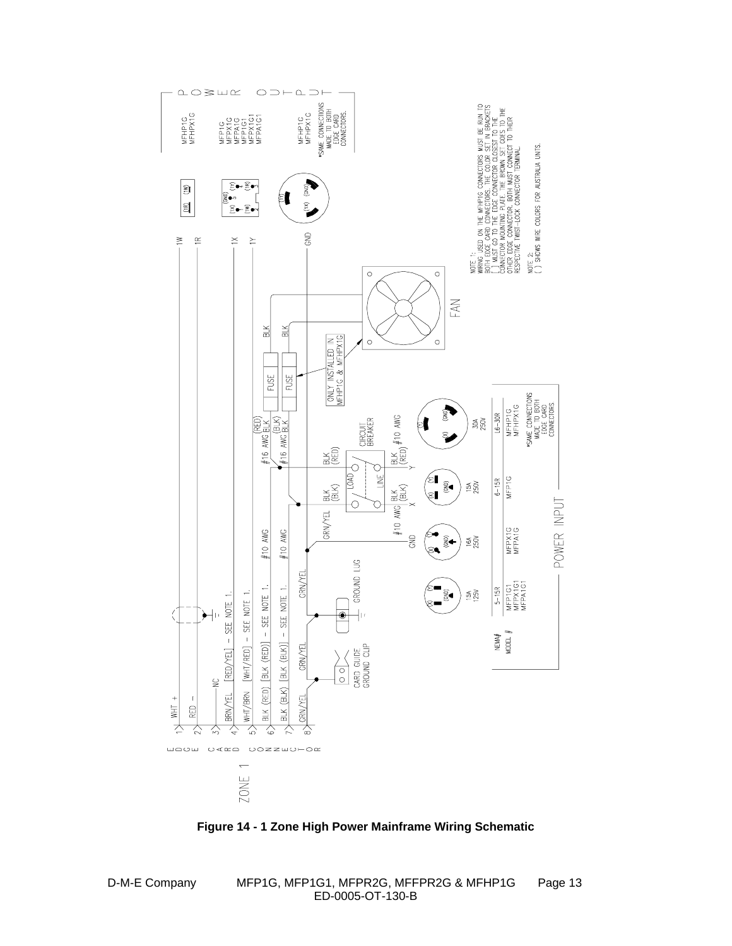

**Figure 14 - 1 Zone High Power Mainframe Wiring Schematic**